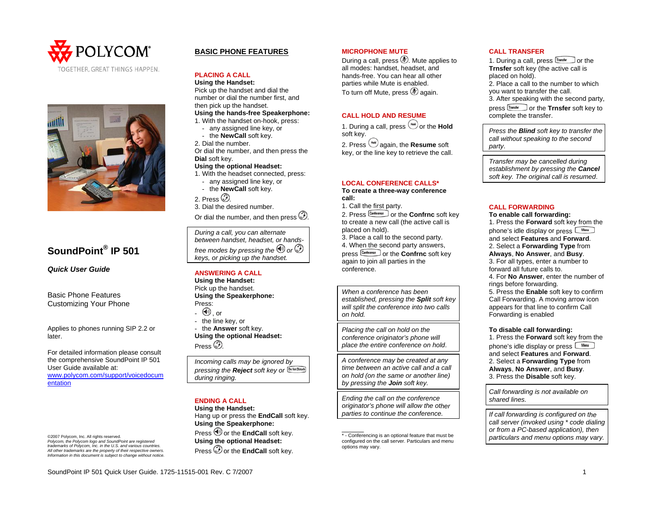



# **SoundPoint® IP 501**

*Quick User Guide* 

Basic Phone Features Customizing Your Phone

Applies to phones running SIP 2.2 or later.

For detailed information please consult the comprehensive SoundPoint IP 501 User Guide available at: [www.polycom.com/support/voicedocum](http://www.polycom.com/support/voicedocumentation) [entation](http://www.polycom.com/support/voicedocumentation)

©2007 Polycom, Inc. All rights reserved. *Polycom, the Polycom logo and SoundPoint are registered trademarks of Polycom, Inc. in the U.S. and various countries. All other trademarks are the property of their respective owners. Information in this document is subject to change without notice.*

# **BASIC PHONE FEATURES**

#### **PLACING A CALL**

**: Using the Handset**

Pick up the handset and dial the number or dial the number first, and then pick up the handset.

- **: Using the hands-free Speakerphone** 1. With the handset on-hook, press:
- any assigned line key, or
- the **NewCall** soft key.
- 2. Dial the number.

Or dial the number, and then press the **Dial** soft key.

#### **Using the optional Headset:**

- 1. With the headset connected, press:
- any assigned line key, or - the **NewCall** soft key.
- 2. Press  $\circled{2}$

3. Dial the desired number.

Or dial the number, and then press  $\mathcal{D}$ .

*During a call, you can alternate between handset, headset, or h andsfree modes by pressing the or keys, or picking up the handset.* 

# **ANSWERING A CALL**

**Using the Handset:**  Pick up the handset. **Using the Speakerphone:**  Press:  $\heartsuit$  , or - the line key, or - the **Answer** soft key. **Using the option al Headset:** 

Press  $\circledcirc$ .

| Incoming calls may be ignored by                   |
|----------------------------------------------------|
| pressing the Reject soft key or Dollot Distributed |
| during ringing.                                    |

# **ENDING A CALL**

**t: Using the Handse** Hang up or press the **EndCall** soft key. **Using the Speakerphone:** 

Press <sup>org</sup> or the **EndCall** soft key. **Using the optional Headset :**  Press  $\mathcal D$  or the **EndCall** soft key.

#### **MICROPHONE MUTE**

During a call, press ③. Mute applies to all modes: handset, headset, and hands-free. You can hear all other parties while Mute is enabled. To turn off Mute, press  $\circledast$  again.

## **CALL HOLD AND RESUME**

1. During a call, press ╰or the **Hold** soft key. 2. Press  $($ <del>kal</del> again, the **Resume** soft

key, or the line key to retrieve the call.

#### **LOCAL CONFERENCE CALLS\***

**e To create a three-way conferenc call:** 

1. Call the first party.

2. Press  $\frac{[Comference]}{[Conference]}$  or the **Confrnc** soft key to create a new call (the active call is placed on hold).

4. When the second party answers, 3. Place a call to the second party.

press **Conference** or the **Confrnc** soft key again to join all parties in the conference.

*When a conference has been established, pressing the Split soft key will split the conference into two calls on hold.* 

*Placing the call on hold on the will conference originator's phone*  . *place the entire conference on hold*

*A conference may be created at any time between an active call and a cal l on hold (on the same or another line) by pressing the Join soft key.* 

*ce Ending the call on the conferen her originator's phone will allow the ot parties to continue the conference.* 

-<br>\* - Conferencing is an optional feature that must be configured on the call server. Particulars and menu options may vary.

#### **CALL TRANSFER**

1. During a call, press  $T_{\text{transfer}}$  or the **Trnsfer** soft key (the active call is placed on hold).

2. Place a call to the number to which 3. After speaking with the second party, you want to transfer the call.

press  $\boxed{\text{Transfer}}$  or the **Trnsfer** soft key to complete the transfer.

*Press the Blind soft key to transfer the call without speaking to the second party*.

*Transfer may be cancelled during establishment by pressing the Cancel soft key. The original call is resumed*.

#### **CALL FORWARDING**

#### **o enable call forwarding: T**. Press the **Forward** soft key from the 1

phone's idle display or press and select **Features** and **Forward**. 2. Select a **Forwarding Type** from **Always**, **No Answer**, and **Busy**.

3. For all types, enter a number to forward all future calls to.

4. For **No Answer**, enter the number of rings before forwarding.

5. Press the **Enable** soft key to confirm Call Forwarding. A moving arrow icon appears for that line to confirm Call Forwarding is enabled

#### **To disable call forwarding:**

1. Press the **Forward** soft key from the phone's idle display or press and select **Features** and **Forward**. 2. Select a **Forwarding Type** from **Always**, **No Answer**, and **Busy**. 3. Press the **Disable** soft key.

*Call forwarding is not available on shared lines.* 

*he If call forwarding is configured on t aling call server (invoked using \* code di -based application), then or from a PC y. particulars and menu options may var*